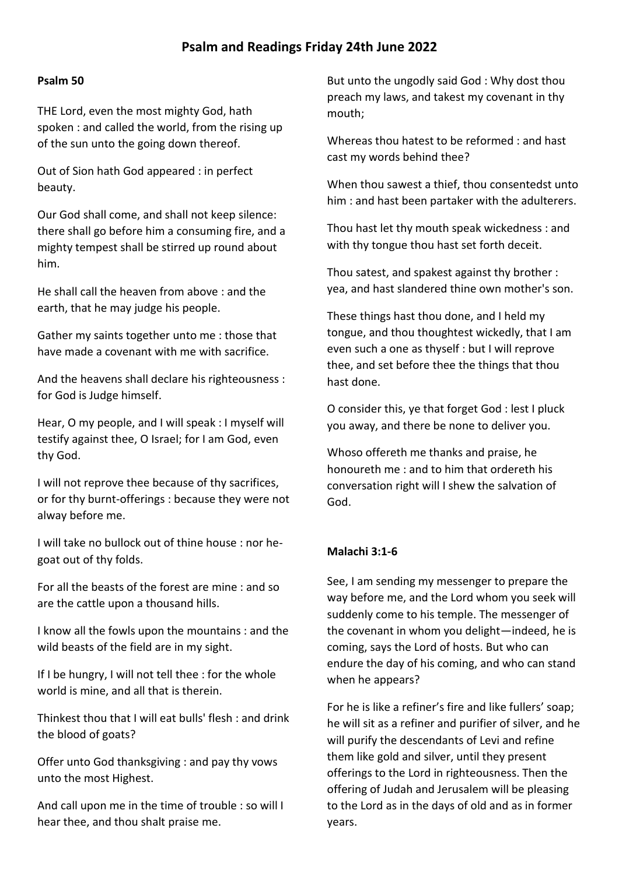## **Psalm 50**

THE Lord, even the most mighty God, hath spoken : and called the world, from the rising up of the sun unto the going down thereof.

Out of Sion hath God appeared : in perfect beauty.

Our God shall come, and shall not keep silence: there shall go before him a consuming fire, and a mighty tempest shall be stirred up round about him.

He shall call the heaven from above : and the earth, that he may judge his people.

Gather my saints together unto me : those that have made a covenant with me with sacrifice.

And the heavens shall declare his righteousness : for God is Judge himself.

Hear, O my people, and I will speak : I myself will testify against thee, O Israel; for I am God, even thy God.

I will not reprove thee because of thy sacrifices, or for thy burnt-offerings : because they were not alway before me.

I will take no bullock out of thine house : nor hegoat out of thy folds.

For all the beasts of the forest are mine : and so are the cattle upon a thousand hills.

I know all the fowls upon the mountains : and the wild beasts of the field are in my sight.

If I be hungry, I will not tell thee : for the whole world is mine, and all that is therein.

Thinkest thou that I will eat bulls' flesh : and drink the blood of goats?

Offer unto God thanksgiving : and pay thy vows unto the most Highest.

And call upon me in the time of trouble : so will I hear thee, and thou shalt praise me.

But unto the ungodly said God : Why dost thou preach my laws, and takest my covenant in thy mouth;

Whereas thou hatest to be reformed : and hast cast my words behind thee?

When thou sawest a thief, thou consentedst unto him : and hast been partaker with the adulterers.

Thou hast let thy mouth speak wickedness : and with thy tongue thou hast set forth deceit.

Thou satest, and spakest against thy brother : yea, and hast slandered thine own mother's son.

These things hast thou done, and I held my tongue, and thou thoughtest wickedly, that I am even such a one as thyself : but I will reprove thee, and set before thee the things that thou hast done.

O consider this, ye that forget God : lest I pluck you away, and there be none to deliver you.

Whoso offereth me thanks and praise, he honoureth me : and to him that ordereth his conversation right will I shew the salvation of God.

## **Malachi 3:1-6**

See, I am sending my messenger to prepare the way before me, and the Lord whom you seek will suddenly come to his temple. The messenger of the covenant in whom you delight—indeed, he is coming, says the Lord of hosts. But who can endure the day of his coming, and who can stand when he appears?

For he is like a refiner's fire and like fullers' soap; he will sit as a refiner and purifier of silver, and he will purify the descendants of Levi and refine them like gold and silver, until they present offerings to the Lord in righteousness. Then the offering of Judah and Jerusalem will be pleasing to the Lord as in the days of old and as in former years.